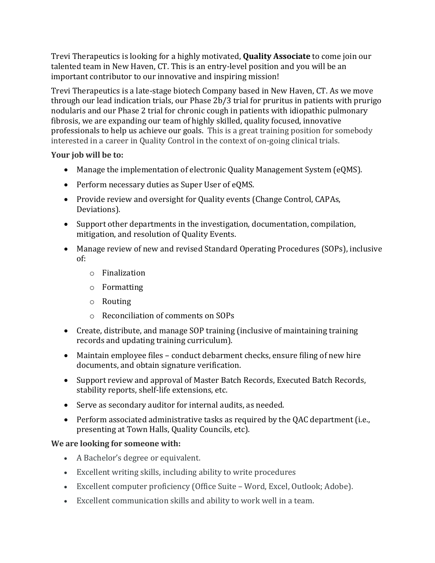Trevi Therapeutics is looking for a highly motivated, **Quality Associate** to come join our talented team in New Haven, CT. This is an entry-level position and you will be an important contributor to our innovative and inspiring mission!

Trevi Therapeutics is a late-stage biotech Company based in New Haven, CT. As we move through our lead indication trials, our Phase 2b/3 trial for pruritus in patients with prurigo nodularis and our Phase 2 trial for chronic cough in patients with idiopathic pulmonary fibrosis, we are expanding our team of highly skilled, quality focused, innovative professionals to help us achieve our goals. This is a great training position for somebody interested in a career in Quality Control in the context of on-going clinical trials.

## **Your job will be to:**

- Manage the implementation of electronic Quality Management System (eQMS).
- Perform necessary duties as Super User of eQMS.
- Provide review and oversight for Quality events (Change Control, CAPAs, Deviations).
- Support other departments in the investigation, documentation, compilation, mitigation, and resolution of Quality Events.
- Manage review of new and revised Standard Operating Procedures (SOPs), inclusive of:
	- o Finalization
	- o Formatting
	- o Routing
	- o Reconciliation of comments on SOPs
- Create, distribute, and manage SOP training (inclusive of maintaining training records and updating training curriculum).
- Maintain employee files conduct debarment checks, ensure filing of new hire documents, and obtain signature verification.
- Support review and approval of Master Batch Records, Executed Batch Records, stability reports, shelf-life extensions, etc.
- Serve as secondary auditor for internal audits, as needed.
- Perform associated administrative tasks as required by the QAC department (i.e., presenting at Town Halls, Quality Councils, etc).

## **We are looking for someone with:**

- A Bachelor's degree or equivalent.
- Excellent writing skills, including ability to write procedures
- Excellent computer proficiency (Office Suite Word, Excel, Outlook; Adobe).
- Excellent communication skills and ability to work well in a team.